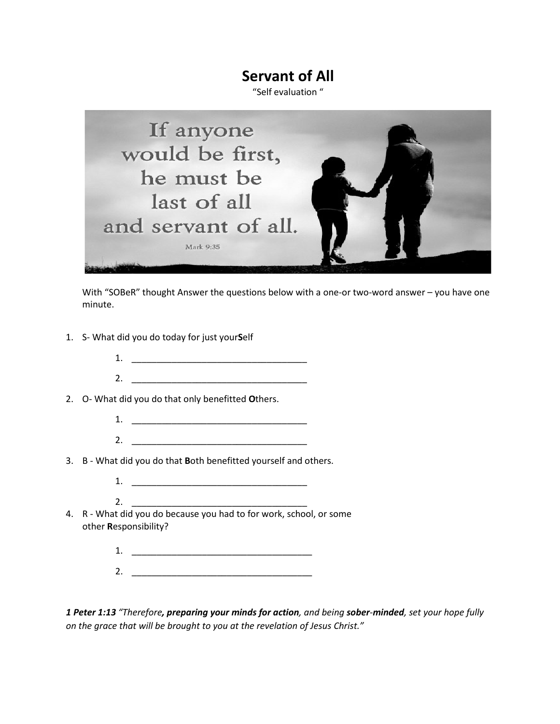## **Servant of All**

"Self evaluation "



With "SOBeR" thought Answer the questions below with a one-or two-word answer – you have one minute.

- 1. S- What did you do today for just your**S**elf
	- 1. \_\_\_\_\_\_\_\_\_\_\_\_\_\_\_\_\_\_\_\_\_\_\_\_\_\_\_\_\_\_\_\_\_\_\_ 2. \_\_\_\_\_\_\_\_\_\_\_\_\_\_\_\_\_\_\_\_\_\_\_\_\_\_\_\_\_\_\_\_\_\_\_
- 2. O- What did you do that only benefitted **O**thers.

 $2.$ 

- 1. \_\_\_\_\_\_\_\_\_\_\_\_\_\_\_\_\_\_\_\_\_\_\_\_\_\_\_\_\_\_\_\_\_\_\_ 2. \_\_\_\_\_\_\_\_\_\_\_\_\_\_\_\_\_\_\_\_\_\_\_\_\_\_\_\_\_\_\_\_\_\_\_
- 3. B What did you do that **B**oth benefitted yourself and others.
	- 1. \_\_\_\_\_\_\_\_\_\_\_\_\_\_\_\_\_\_\_\_\_\_\_\_\_\_\_\_\_\_\_\_\_\_\_
- 4. R What did you do because you had to for work, school, or some other **R**esponsibility?
	- 1. \_\_\_\_\_\_\_\_\_\_\_\_\_\_\_\_\_\_\_\_\_\_\_\_\_\_\_\_\_\_\_\_\_\_\_\_
	- 2. \_\_\_\_\_\_\_\_\_\_\_\_\_\_\_\_\_\_\_\_\_\_\_\_\_\_\_\_\_\_\_\_\_\_\_\_

*1 Peter 1:13 "Therefore, preparing your minds for action, and being sober-minded, set your hope fully on the grace that will be brought to you at the revelation of Jesus Christ."*